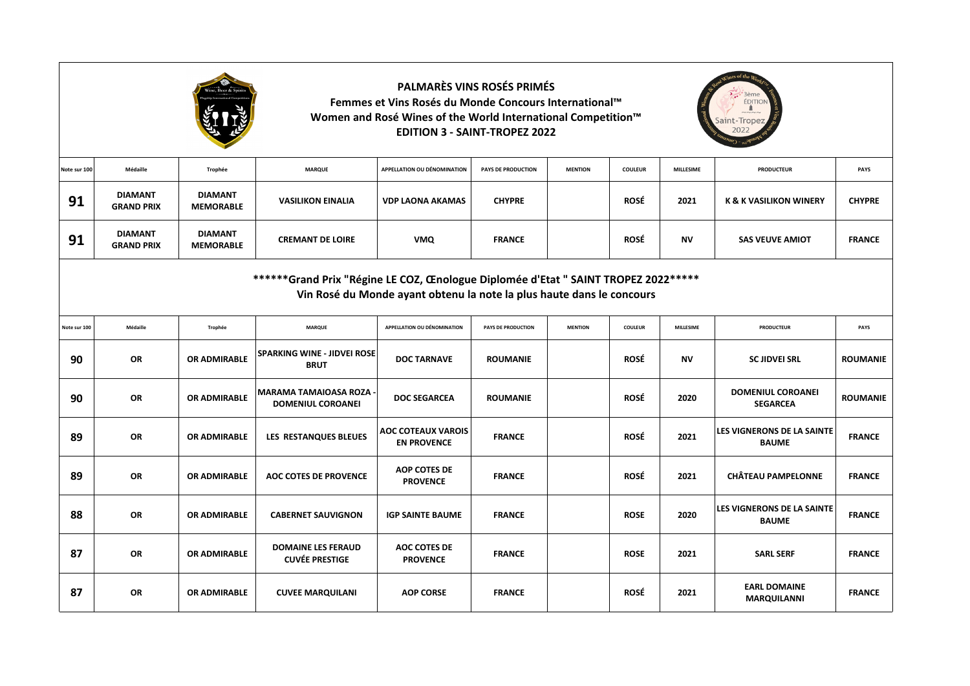|                                                                                                                                                             | <b>PALMARÈS VINS ROSÉS PRIMÉS</b><br>3ème<br>Femmes et Vins Rosés du Monde Concours International™<br><b>EDITIO</b><br>Women and Rosé Wines of the World International Competition™<br><b>EDITION 3 - SAINT-TROPEZ 2022</b> |                                    |                                                          |                                                 |                           |                |                |                  |                                                   |                 |  |  |
|-------------------------------------------------------------------------------------------------------------------------------------------------------------|-----------------------------------------------------------------------------------------------------------------------------------------------------------------------------------------------------------------------------|------------------------------------|----------------------------------------------------------|-------------------------------------------------|---------------------------|----------------|----------------|------------------|---------------------------------------------------|-----------------|--|--|
| Note sur 100                                                                                                                                                | Médaille                                                                                                                                                                                                                    | Trophée                            | <b>MARQUE</b>                                            | <b>APPELLATION OU DÉNOMINATION</b>              | <b>PAYS DE PRODUCTION</b> | <b>MENTION</b> | <b>COULEUR</b> | <b>MILLESIME</b> | <b>PRODUCTEUR</b>                                 | PAYS            |  |  |
| 91                                                                                                                                                          | <b>DIAMANT</b><br><b>GRAND PRIX</b>                                                                                                                                                                                         | <b>DIAMANT</b><br><b>MEMORABLE</b> | <b>VASILIKON EINALIA</b>                                 | <b>VDP LAONA AKAMAS</b>                         | <b>CHYPRE</b>             |                | <b>ROSÉ</b>    | 2021             | <b>K &amp; K VASILIKON WINERY</b>                 | <b>CHYPRE</b>   |  |  |
| 91                                                                                                                                                          | <b>DIAMANT</b><br><b>GRAND PRIX</b>                                                                                                                                                                                         | <b>DIAMANT</b><br><b>MEMORABLE</b> | <b>CREMANT DE LOIRE</b>                                  | <b>VMQ</b>                                      | <b>FRANCE</b>             |                | <b>ROSÉ</b>    | <b>NV</b>        | <b>SAS VEUVE AMIOT</b>                            | <b>FRANCE</b>   |  |  |
| ******Grand Prix "Régine LE COZ, Œnologue Diplomée d'Etat " SAINT TROPEZ 2022*****<br>Vin Rosé du Monde ayant obtenu la note la plus haute dans le concours |                                                                                                                                                                                                                             |                                    |                                                          |                                                 |                           |                |                |                  |                                                   |                 |  |  |
| Note sur 100                                                                                                                                                | Médaille                                                                                                                                                                                                                    | Trophée                            | <b>MARQUE</b>                                            | APPELLATION OU DÉNOMINATION                     | <b>PAYS DE PRODUCTION</b> | <b>MENTION</b> | <b>COULEUR</b> | <b>MILLESIME</b> | <b>PRODUCTEUR</b>                                 | PAYS            |  |  |
| 90                                                                                                                                                          | <b>OR</b>                                                                                                                                                                                                                   | OR ADMIRABLE                       | <b>SPARKING WINE - JIDVEI ROSE</b><br><b>BRUT</b>        | <b>DOC TARNAVE</b>                              | <b>ROUMANIE</b>           |                | <b>ROSÉ</b>    | <b>NV</b>        | <b>SC JIDVEI SRL</b>                              | <b>ROUMANIE</b> |  |  |
| 90                                                                                                                                                          | <b>OR</b>                                                                                                                                                                                                                   | <b>OR ADMIRABLE</b>                | <b>MARAMA TAMAIOASA ROZA</b><br><b>DOMENIUL COROANEI</b> | <b>DOC SEGARCEA</b>                             | <b>ROUMANIE</b>           |                | <b>ROSÉ</b>    | 2020             | <b>DOMENIUL COROANEI</b><br><b>SEGARCEA</b>       | <b>ROUMANIE</b> |  |  |
| 89                                                                                                                                                          | <b>OR</b>                                                                                                                                                                                                                   | OR ADMIRABLE                       | LES RESTANQUES BLEUES                                    | <b>AOC COTEAUX VAROIS</b><br><b>EN PROVENCE</b> | <b>FRANCE</b>             |                | <b>ROSÉ</b>    | 2021             | <b>LES VIGNERONS DE LA SAINTE</b><br><b>BAUME</b> | <b>FRANCE</b>   |  |  |
| 89                                                                                                                                                          | <b>OR</b>                                                                                                                                                                                                                   | OR ADMIRABLE                       | <b>AOC COTES DE PROVENCE</b>                             | <b>AOP COTES DE</b><br><b>PROVENCE</b>          | <b>FRANCE</b>             |                | <b>ROSÉ</b>    | 2021             | <b>CHÂTEAU PAMPELONNE</b>                         | <b>FRANCE</b>   |  |  |
| 88                                                                                                                                                          | <b>OR</b>                                                                                                                                                                                                                   | <b>OR ADMIRABLE</b>                | <b>CABERNET SAUVIGNON</b>                                | <b>IGP SAINTE BAUME</b>                         | <b>FRANCE</b>             |                | <b>ROSE</b>    | 2020             | <b>LES VIGNERONS DE LA SAINTE</b><br><b>BAUME</b> | <b>FRANCE</b>   |  |  |
| 87                                                                                                                                                          | OR                                                                                                                                                                                                                          | <b>OR ADMIRABLE</b>                | <b>DOMAINE LES FERAUD</b><br><b>CUVÉE PRESTIGE</b>       | <b>AOC COTES DE</b><br><b>PROVENCE</b>          | <b>FRANCE</b>             |                | <b>ROSE</b>    | 2021             | <b>SARL SERF</b>                                  | <b>FRANCE</b>   |  |  |
| 87                                                                                                                                                          | <b>OR</b>                                                                                                                                                                                                                   | OR ADMIRABLE                       | <b>CUVEE MARQUILANI</b>                                  | <b>AOP CORSE</b>                                | <b>FRANCE</b>             |                | <b>ROSÉ</b>    | 2021             | <b>EARL DOMAINE</b><br><b>MARQUILANNI</b>         | <b>FRANCE</b>   |  |  |